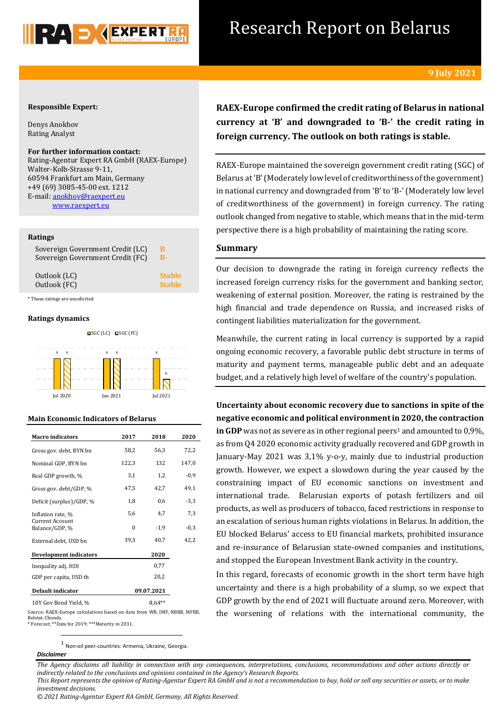

## Research Report on Belarus

## **Responsible Expert:**

Denys Anokhov Rating Analyst

## **For further information contact:**

Rating-Agentur Expert RA GmbH (RAEX-Europe) Walter-Kolb-Strasse 9-11, 60594 Frankfurt am Main, Germany +49 (69) 3085-45-00 ext. 1212 E-mail[: anokhov@raexpert.eu](mailto:anokhov@raexpert.eu) [www.raexpert.eu](http://raexpert.eu/)

## **Ratings**

| Sovereign Government Credit (LC) | в             |
|----------------------------------|---------------|
| Sovereign Government Credit (FC) | B-            |
| Outlook (LC)                     | <b>Stable</b> |
| Outlook (FC)                     | <b>Stable</b> |

\* These ratings are unsolicited

## **Ratings dynamics**



Jul 2020 Jan 2021 Jul 2021



| <b>Macro</b> indicators                  | 2017       | 2018   | 2020   |
|------------------------------------------|------------|--------|--------|
| Gross gov. debt, BYN bn                  | 58,2       | 56,3   | 72,2   |
| Nominal GDP, BYN bn                      | 122,3      | 132    | 147,0  |
| Real GDP growth, %                       | 3,1        | 1,2    | $-0,9$ |
| Gross gov. debt/GDP, %                   | 47,5       | 42,7   | 49,1   |
| Deficit (surplus)/GDP, %                 | 1,8        | 0,6    | -3,3   |
| Inflation rate, %                        | 5,6        | 4,7    | 7,3    |
| <b>Current Account</b><br>Balance/GDP, % | $\theta$   | $-1,9$ | $-0,3$ |
| External debt, USD bn                    | 39,3       | 40,7   | 42,2   |
| <b>Development indicators</b>            |            | 2020   |        |
| Inequality adj. HDI                      |            | 0,77   |        |
| GDP per capita, USD th                   |            | 20,2   |        |
| Default indicator                        | 09.07.2021 |        |        |
| 10Y Gov Bond Yield, %                    |            |        |        |

Source: RAEX-Europe calculations based on data from WB, IMF, NBRB, MFRB, Belstat, Cbonds.

\* Forecast; \*\*Data for 2019; \*\*\*Maturity in 2031.

**RAEX-Europe confirmed the credit rating of Belarus in national currency at 'B' and downgraded tо 'B-' the credit rating in foreign currency. The outlook on both ratings is stable.**

RAEX-Europe maintained the sovereign government credit rating (SGC) of Belarus at 'B'(Moderately low level of creditworthiness of the government) in national currency and downgraded from 'B' to 'B-' (Moderately low level of creditworthiness of the government) in foreign currency. The rating outlook changed from negative to stable, which means that in the mid-term perspective there is a high probability of maintaining the rating score.

## **Summary**

Our decision to downgrade the rating in foreign currency reflects the increased foreign currency risks for the government and banking sector, weakening of external position. Moreover, the rating is restrained by the high financial and trade dependence on Russia, and increased risks of contingent liabilities materialization for the government.

Meanwhile, the current rating in local currency is supported by a rapid ongoing economic recovery, a favorable public debt structure in terms of maturity and payment terms, manageable public debt and an adequate budget, and a relatively high level of welfare of the country's population.

**Uncertainty about economic recovery due to sanctions in spite of the negative economic and political environment in 2020, the contraction**  in GDP was not as severe as in other regional peers<sup>1</sup> and amounted to 0,9%, as from Q4 2020 economic activity gradually recovered and GDP growth in January-May 2021 was 3,1% y-o-y, mainly due to industrial production growth. However, we expect a slowdown during the year caused by the constraining impact of EU economic sanctions on investment and international trade. Belarusian exports of potash fertilizers and oil products, as well as producers of tobacco, faced restrictions in response to an escalation of serious human rights violations in Belarus. In addition, the EU blocked Belarus' access to EU financial markets, prohibited insurance and re-insurance of Belarusian state-owned companies and institutions, and stopped the European Investment Bank activity in the country.

In this regard, forecasts of economic growth in the short term have high uncertainty and there is a high probability of a slump, so we expect that GDP growth by the end of 2021 will fluctuate around zero. Moreover, with the worsening of relations with the international community, the

1 Non-oil peer-countries: Armenia, Ukraine, Georgia.

#### *Disclaimer*

**.** 

*The Agency disclaims all liability in connection with any consequences, interpretations, conclusions, recommendations and other actions directly or indirectly related to the conclusions and opinions contained in the Agency's Research Reports.*

*This Report represents the opinion of Rating-Agentur Expert RA GmbH and is not a recommendation to buy, hold or sell any securities or assets, or to make investment decisions.*

*© 2021 Rating-Agentur Expert RA GmbH, Germany, All Rights Reserved.*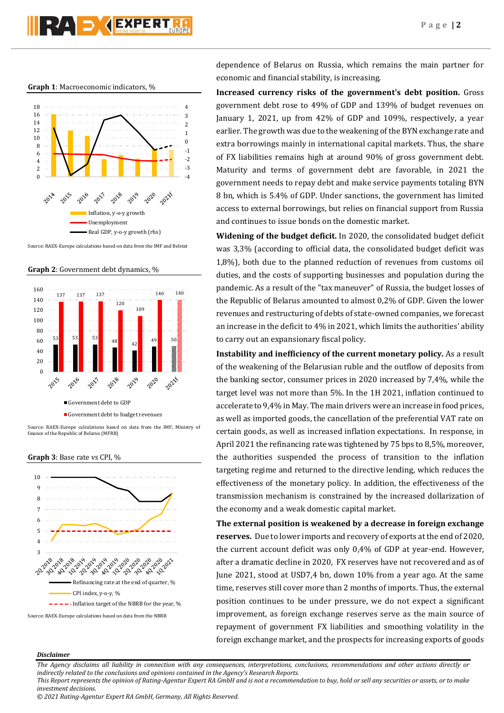# $\blacksquare$   $\blacksquare$   $\blacksquare$   $\blacksquare$   $\blacksquare$   $\blacksquare$   $\blacksquare$   $\blacksquare$   $\blacksquare$   $\blacksquare$   $\blacksquare$   $\blacksquare$   $\blacksquare$   $\blacksquare$   $\blacksquare$   $\blacksquare$   $\blacksquare$   $\blacksquare$   $\blacksquare$   $\blacksquare$   $\blacksquare$   $\blacksquare$   $\blacksquare$   $\blacksquare$   $\blacksquare$   $\blacksquare$   $\blacksquare$   $\blacksquare$   $\blacksquare$   $\blacksquare$   $\blacksquare$   $\blacks$

**Graph 1**: Macroeconomic indicators, %



Source: RAEX-Europe calculations based on data from the IMF and Belstat

**Graph 2**: Government debt dynamics, %



Source: RAEX-Europe calculations based on data from the IMF, Ministry of finance of the Republic of Belarus (MFRB)

**Graph 3**: Base rate vs CPI, %



dependence of Belarus on Russia, which remains the main partner for economic and financial stability, is increasing.

**Increased currency risks of the government's debt position.** Gross government debt rose to 49% of GDP and 139% of budget revenues on January 1, 2021, up from 42% of GDP and 109%, respectively, a year earlier. The growth was due to the weakening of the BYN exchange rate and extra borrowings mainly in international capital markets. Thus, the share of FX liabilities remains high at around 90% of gross government debt. Maturity and terms of government debt are favorable, in 2021 the government needs to repay debt and make service payments totaling BYN 8 bn, which is 5.4% of GDP. Under sanctions, the government has limited access to external borrowings, but relies on financial support from Russia and continues to issue bonds on the domestic market.

**Widening of the budget deficit.** In 2020, the consolidated budget deficit was 3,3% (according to official data, the consolidated budget deficit was 1,8%), both due to the planned reduction of revenues from customs oil duties, and the costs of supporting businesses and population during the pandemic. As a result of the "tax maneuver" of Russia, the budget losses of the Republic of Belarus amounted to almost 0,2% of GDP. Given the lower revenues and restructuring of debts of state-owned companies, we forecast an increase in the deficit to 4% in 2021, which limits the authorities' ability to carry out an expansionary fiscal policy.

**Instability and inefficiency of the current monetary policy.** As a result of the weakening of the Belarusian ruble and the outflow of deposits from the banking sector, consumer prices in 2020 increased by 7,4%, while the target level was not more than 5%. In the 1H 2021, inflation continued to accelerate to 9,4% in May. The main drivers were an increase in food prices, as well as imported goods, the cancellation of the preferential VAT rate on certain goods, as well as increased inflation expectations. In response, in April 2021 the refinancing rate was tightened by 75 bps to 8,5%, moreover, the authorities suspended the process of transition to the inflation targeting regime and returned to the directive lending, which reduces the effectiveness of the monetary policy. In addition, the effectiveness of the transmission mechanism is constrained by the increased dollarization of the economy and a weak domestic capital market.

**The external position is weakened by a decrease in foreign exchange reserves.** Due to lower imports and recovery of exports at the end of 2020, the current account deficit was only 0,4% of GDP at year-end. However, after a dramatic decline in 2020, FX reserves have not recovered and as of June 2021, stood at USD7,4 bn, down 10% from a year ago. At the same time, reserves still cover more than 2 months of imports. Thus, the external position continues to be under pressure, we do not expect a significant improvement, as foreign exchange reserves serve as the main source of repayment of government FX liabilities and smoothing volatility in the foreign exchange market, and the prospects for increasing exports of goods

## *Disclaimer*

*The Agency disclaims all liability in connection with any consequences, interpretations, conclusions, recommendations and other actions directly or indirectly related to the conclusions and opinions contained in the Agency's Research Reports.*

*This Report represents the opinion of Rating-Agentur Expert RA GmbH and is not a recommendation to buy, hold or sell any securities or assets, or to make investment decisions.*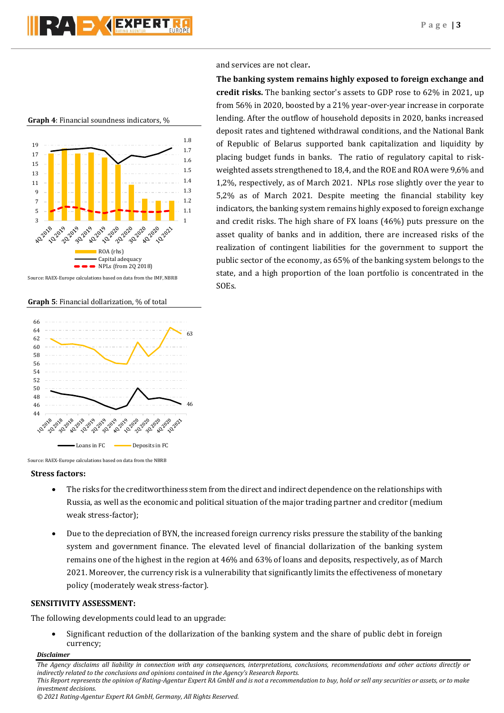## and services are not clear**.**

**The banking system remains highly exposed to foreign exchange and credit risks.** The banking sector's assets to GDP rose to 62% in 2021, up from 56% in 2020, boosted by a 21% year-over-year increase in corporate lending. After the outflow of household deposits in 2020, banks increased deposit rates and tightened withdrawal conditions, and the National Bank of Republic of Belarus supported bank capitalization and liquidity by placing budget funds in banks. The ratio of regulatory capital to riskweighted assets strengthened to 18,4, and the ROE and ROA were 9,6% and 1,2%, respectively, as of March 2021. NPLs rose slightly over the year to 5,2% as of March 2021. Despite meeting the financial stability key indicators, the banking system remains highly exposed to foreign exchange and credit risks. The high share of FX loans (46%) puts pressure on the asset quality of banks and in addition, there are increased risks of the realization of contingent liabilities for the government to support the public sector of the economy, as 65% of the banking system belongs to the state, and a high proportion of the loan portfolio is concentrated in the SOEs.





Source: RAEX-Europe calculations based on data from the IMF, NBRB

**Graph 5**: Financial dollarization, % of total





## **Stress factors:**

- The risks for the creditworthiness stem from the direct and indirect dependence on the relationships with Russia, as well as the economic and political situation of the major trading partner and creditor (medium weak stress-factor);
- Due to the depreciation of BYN, the increased foreign currency risks pressure the stability of the banking system and government finance. The elevated level of financial dollarization of the banking system remains one of the highest in the region at 46% and 63% of loans and deposits, respectively, as of March 2021. Moreover, the currency risk is a vulnerability that significantly limits the effectiveness of monetary policy (moderately weak stress-factor).

## **SENSITIVITY ASSESSMENT:**

The following developments could lead to an upgrade:

 Significant reduction of the dollarization of the banking system and the share of public debt in foreign currency;

## *Disclaimer*

*The Agency disclaims all liability in connection with any consequences, interpretations, conclusions, recommendations and other actions directly or indirectly related to the conclusions and opinions contained in the Agency's Research Reports. This Report represents the opinion of Rating-Agentur Expert RA GmbH and is not a recommendation to buy, hold or sell any securities or assets, or to make investment decisions.*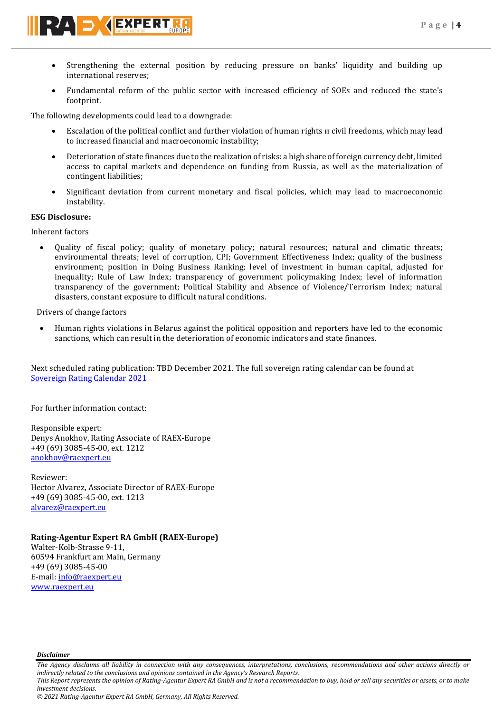

- Strengthening the external position by reducing pressure on banks' liquidity and building up international reserves;
- Fundamental reform of the public sector with increased efficiency of SOEs and reduced the state's footprint.

The following developments could lead to a downgrade:

- Escalation of the political conflict and further violation of human rights и civil freedoms, which may lead to increased financial and macroeconomic instability;
- Deterioration of state finances due to the realization of risks: a high share of foreign currency debt, limited access to capital markets and dependence on funding from Russia, as well as the materialization of contingent liabilities;
- Significant deviation from current monetary and fiscal policies, which may lead to macroeconomic instability.

## **ESG Disclosure:**

Inherent factors

 Quality of fiscal policy; quality of monetary policy; natural resources; natural and climatic threats; environmental threats; level of corruption, CPI; Government Effectiveness Index; quality of the business environment; position in Doing Business Ranking; level of investment in human capital, adjusted for inequality; Rule of Law Index; transparency of government policymaking Index; level of information transparency of the government; Political Stability and Absence of Violence/Terrorism Index; natural disasters, constant exposure to difficult natural conditions.

Drivers of change factors

 Human rights violations in Belarus against the political opposition and reporters have led to the economic sanctions, which can result in the deterioration of economic indicators and state finances.

Next scheduled rating publication: TBD December 2021. The full sovereign rating calendar can be found at [Sovereign Rating Calendar 2021](https://raexpert.eu/sovereign/#conf-tab-5)

For further information contact:

Responsible expert: Denys Anokhov, Rating Associate of RAEX-Europe +49 (69) 3085-45-00, ext. 1212 [anokhov@raexpert.eu](mailto:anokhov@raexpert.eu)

Reviewer: Hector Alvarez, Associate Director of RAEX-Europe +49 (69) 3085-45-00, ext. 1213 [alvarez@raexpert.eu](mailto:alvarez@raexpert.eu)

## **Rating-Agentur Expert RA GmbH (RAEX-Europe)**

Walter-Kolb-Strasse 9-11, 60594 Frankfurt am Main, Germany +49 (69) 3085-45-00 E-mail[: info@raexpert.eu](mailto:info@raexpert.eu) [www.raexpert.eu](http://raexpert.eu/)

*Disclaimer* 

*investment decisions.*

*The Agency disclaims all liability in connection with any consequences, interpretations, conclusions, recommendations and other actions directly or indirectly related to the conclusions and opinions contained in the Agency's Research Reports. This Report represents the opinion of Rating-Agentur Expert RA GmbH and is not a recommendation to buy, hold or sell any securities or assets, or to make* 

*<sup>© 2021</sup> Rating-Agentur Expert RA GmbH, Germany, All Rights Reserved.*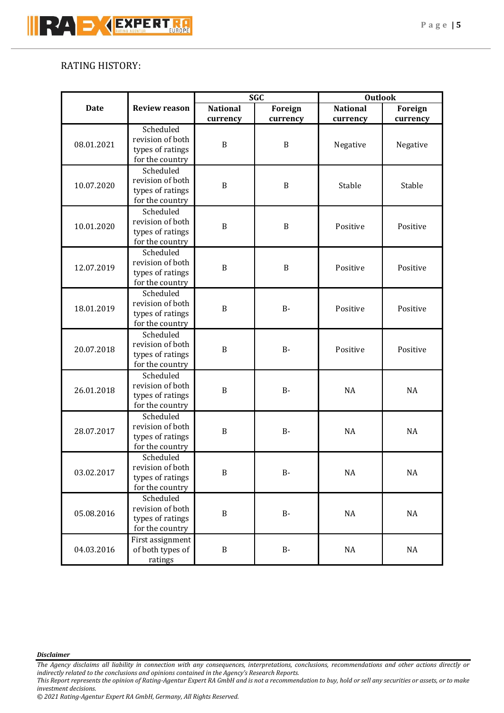## RATING HISTORY:

|             |                      | <b>SGC</b>       |              | <b>Outlook</b>  |           |           |          |
|-------------|----------------------|------------------|--------------|-----------------|-----------|-----------|----------|
| <b>Date</b> | <b>Review reason</b> | <b>National</b>  | Foreign      | <b>National</b> | Foreign   |           |          |
|             |                      | currency         | currency     | currency        | currency  |           |          |
|             | Scheduled            | B                | B            |                 |           |           |          |
| 08.01.2021  | revision of both     |                  |              |                 |           |           |          |
|             | types of ratings     |                  |              |                 | Negative  | Negative  |          |
|             | for the country      |                  |              |                 |           |           |          |
|             | Scheduled            |                  |              |                 |           |           |          |
| 10.07.2020  | revision of both     |                  | $\, {\bf B}$ | Stable          | Stable    |           |          |
|             |                      | types of ratings | $\, {\bf B}$ |                 |           |           |          |
|             | for the country      |                  |              |                 |           |           |          |
|             | Scheduled            |                  |              |                 |           |           |          |
|             | revision of both     |                  |              |                 |           |           |          |
| 10.01.2020  | types of ratings     | B                | $\, {\bf B}$ | Positive        | Positive  |           |          |
|             | for the country      |                  |              |                 |           |           |          |
|             | Scheduled            |                  |              |                 |           |           |          |
|             | revision of both     |                  |              |                 |           |           |          |
| 12.07.2019  | types of ratings     | $\, {\bf B}$     | $\, {\bf B}$ | Positive        | Positive  |           |          |
|             | for the country      |                  |              |                 |           |           |          |
|             | Scheduled            |                  |              |                 |           |           |          |
|             | revision of both     |                  |              |                 |           |           |          |
| 18.01.2019  | types of ratings     | B                | <b>B-</b>    | Positive        | Positive  |           |          |
|             | for the country      |                  |              |                 |           |           |          |
| 20.07.2018  | Scheduled            |                  |              |                 |           |           |          |
|             | revision of both     | $\mathbf B$      |              | Positive        | Positive  |           |          |
|             | types of ratings     |                  | <b>B-</b>    |                 |           |           |          |
|             | for the country      |                  |              |                 |           |           |          |
|             | Scheduled            | B                |              | $B -$           | <b>NA</b> | <b>NA</b> |          |
| 26.01.2018  | revision of both     |                  |              |                 |           |           |          |
|             | types of ratings     |                  |              |                 |           |           |          |
|             | for the country      |                  |              |                 |           |           |          |
| 28.07.2017  | Scheduled            | B                |              |                 |           |           |          |
|             | revision of both     |                  |              | $B -$           | <b>NA</b> | <b>NA</b> |          |
|             | types of ratings     |                  |              |                 |           |           |          |
|             | for the country      |                  |              |                 |           |           |          |
| 03.02.2017  | Scheduled            | $\, {\bf B}$     |              |                 |           |           |          |
|             | revision of both     |                  |              | $B -$           | $\rm NA$  | $\rm NA$  |          |
|             | types of ratings     |                  |              |                 |           |           |          |
|             | for the country      |                  |              |                 |           |           |          |
| 05.08.2016  | Scheduled            | $\, {\bf B}$     |              |                 |           |           |          |
|             | revision of both     |                  |              |                 | $B -$     | $\rm NA$  | $\rm NA$ |
|             | types of ratings     |                  |              |                 |           |           |          |
|             | for the country      |                  |              |                 |           |           |          |
| 04.03.2016  | First assignment     |                  |              |                 |           |           |          |
|             |                      | of both types of |              | $\, {\bf B}$    | $B -$     | NA        | $\rm NA$ |
|             | ratings              |                  |              |                 |           |           |          |

*Disclaimer* 

*The Agency disclaims all liability in connection with any consequences, interpretations, conclusions, recommendations and other actions directly or indirectly related to the conclusions and opinions contained in the Agency's Research Reports.*

*This Report represents the opinion of Rating-Agentur Expert RA GmbH and is not a recommendation to buy, hold or sell any securities or assets, or to make investment decisions.*